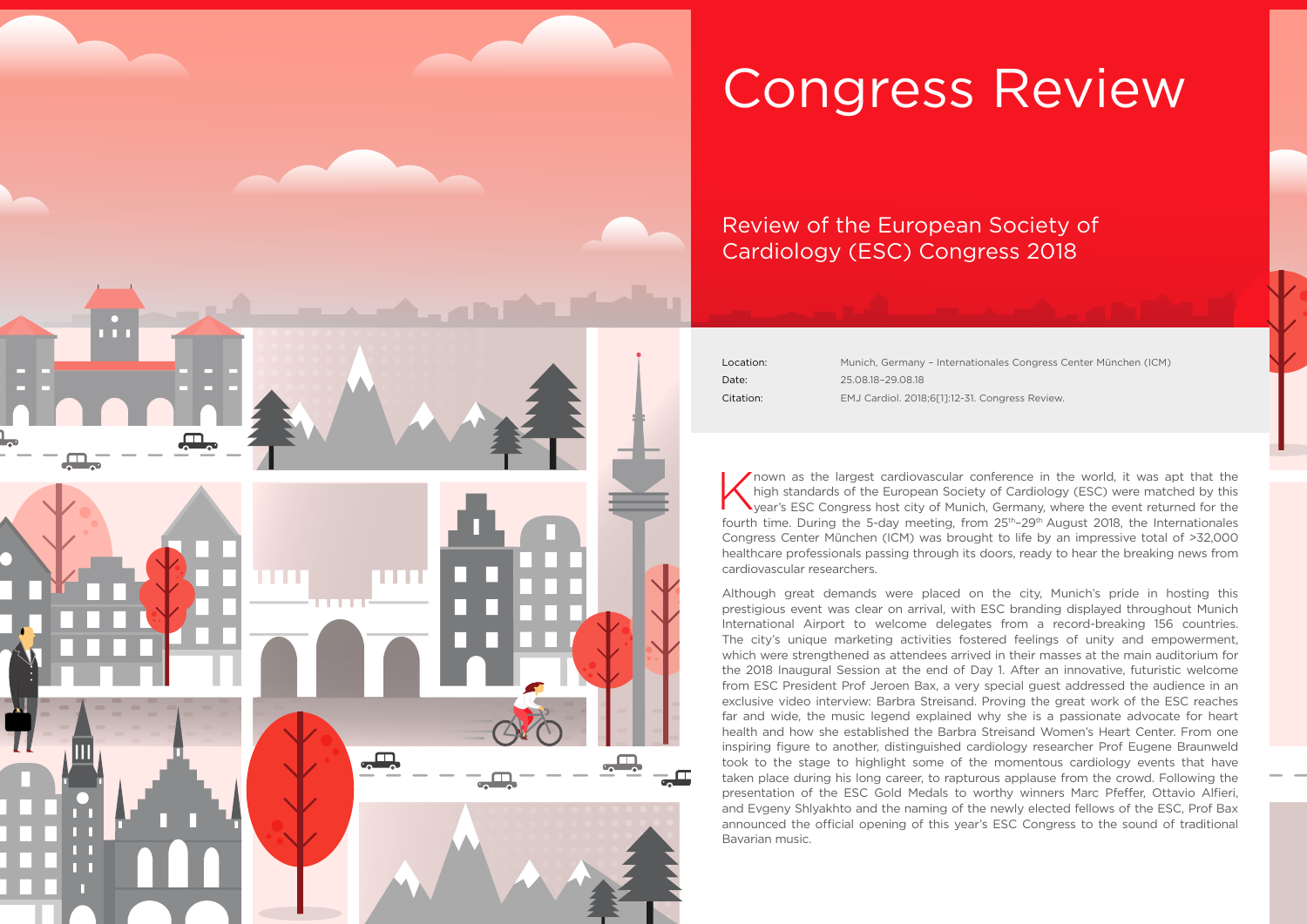Location: Munich, Germany – Internationales Congress Center München (ICM) Date: 25.08.18–29.08.18 Citation: EMJ Cardiol. 2018;6[1]:12-31. Congress Review.



# Congress Review

## Review of the European Society of Cardiology (ESC) Congress 2018

Known as the largest cardiovascular conference in the world, it was apt that the high standards of the European Society of Cardiology (ESC) were matched by this year's ESC Congress host city of Munich, Germany, where the e high standards of the European Society of Cardiology (ESC) were matched by this year's ESC Congress host city of Munich, Germany, where the event returned for the fourth time. During the 5-day meeting, from  $25<sup>th</sup>-29<sup>th</sup>$  August 2018, the Internationales Congress Center München (ICM) was brought to life by an impressive total of >32,000 healthcare professionals passing through its doors, ready to hear the breaking news from cardiovascular researchers.

Although great demands were placed on the city, Munich's pride in hosting this prestigious event was clear on arrival, with ESC branding displayed throughout Munich International Airport to welcome delegates from a record-breaking 156 countries. The city's unique marketing activities fostered feelings of unity and empowerment, which were strengthened as attendees arrived in their masses at the main auditorium for the 2018 Inaugural Session at the end of Day 1. After an innovative, futuristic welcome from ESC President Prof Jeroen Bax, a very special guest addressed the audience in an exclusive video interview: Barbra Streisand. Proving the great work of the ESC reaches far and wide, the music legend explained why she is a passionate advocate for heart health and how she established the Barbra Streisand Women's Heart Center. From one inspiring figure to another, distinguished cardiology researcher Prof Eugene Braunweld took to the stage to highlight some of the momentous cardiology events that have taken place during his long career, to rapturous applause from the crowd. Following the presentation of the ESC Gold Medals to worthy winners Marc Pfeffer, Ottavio Alfieri, and Evgeny Shlyakhto and the naming of the newly elected fellows of the ESC, Prof Bax announced the official opening of this year's ESC Congress to the sound of traditional Bavarian music.

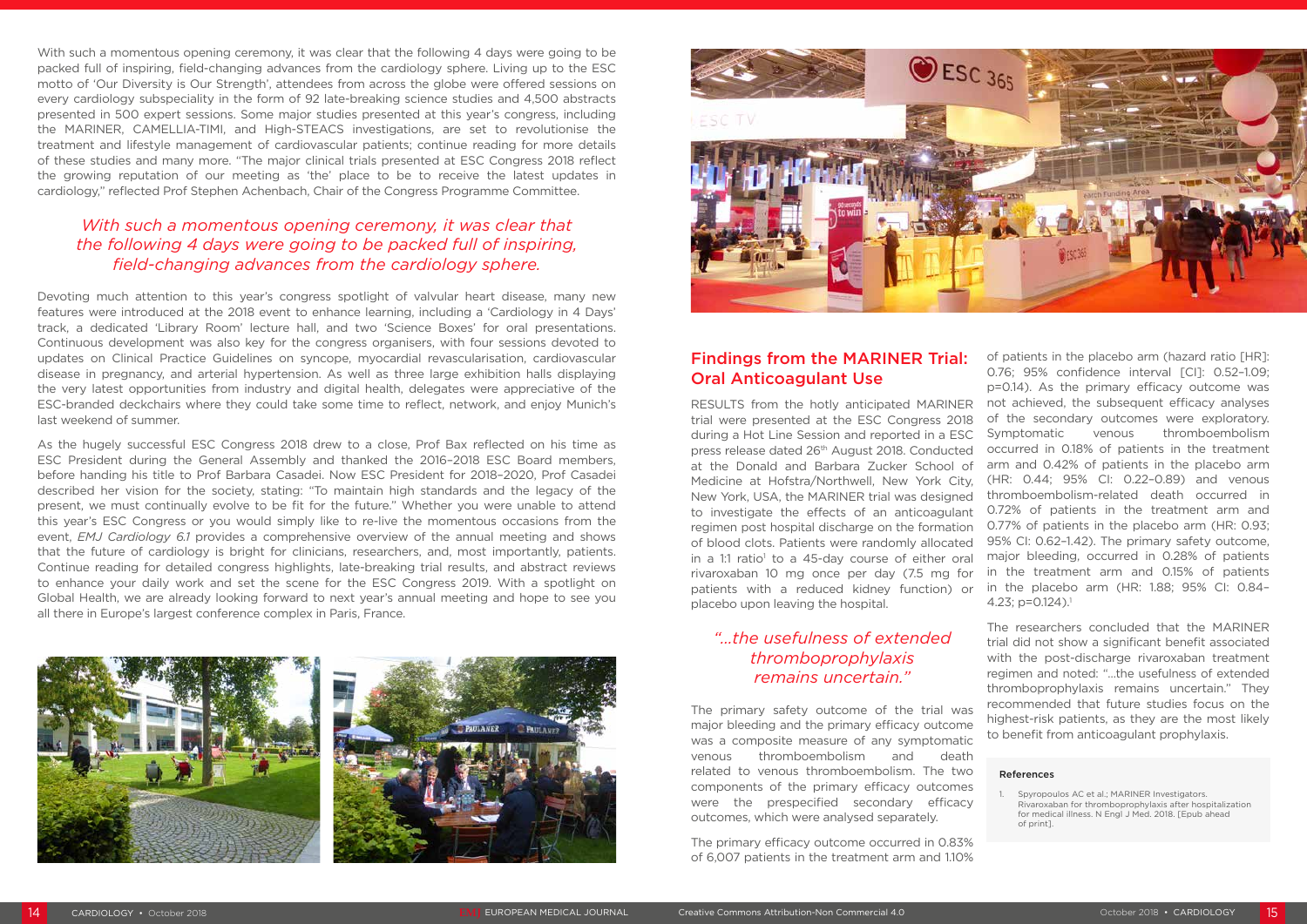With such a momentous opening ceremony, it was clear that the following 4 days were going to be packed full of inspiring, field-changing advances from the cardiology sphere. Living up to the ESC motto of 'Our Diversity is Our Strength', attendees from across the globe were offered sessions on every cardiology subspeciality in the form of 92 late-breaking science studies and 4,500 abstracts presented in 500 expert sessions. Some major studies presented at this year's congress, including the MARINER, CAMELLIA-TIMI, and High-STEACS investigations, are set to revolutionise the treatment and lifestyle management of cardiovascular patients; continue reading for more details of these studies and many more. "The major clinical trials presented at ESC Congress 2018 reflect the growing reputation of our meeting as 'the' place to be to receive the latest updates in cardiology," reflected Prof Stephen Achenbach, Chair of the Congress Programme Committee.

#### *With such a momentous opening ceremony, it was clear that the following 4 days were going to be packed full of inspiring, field-changing advances from the cardiology sphere.*

RESULTS from the hotly anticipated MARINER trial were presented at the ESC Congress 2018 during a Hot Line Session and reported in a ESC press release dated 26th August 2018. Conducted at the Donald and Barbara Zucker School of Medicine at Hofstra/Northwell, New York City, New York, USA, the MARINER trial was designed to investigate the effects of an anticoagulant regimen post hospital discharge on the formation of blood clots. Patients were randomly allocated in a 1:1 ratio<sup>1</sup> to a 45-day course of either oral rivaroxaban 10 mg once per day (7.5 mg for patients with a reduced kidney function) or placebo upon leaving the hospital. of patients in the placebo arm (hazard ratio [HR]: 0.76; 95% confidence interval [CI]: 0.52-1.09; p=0.14). As the primary efficacy outcome was not achieved, the subsequent efficacy analyses of the secondary outcomes were exploratory. Symptomatic venous thromboembolism occurred in 0.18% of patients in the treatment arm and 0.42% of patients in the placebo arm (HR: 0.44; 95% CI: 0.22–0.89) and venous thromboembolism-related death occurred in 0.72% of patients in the treatment arm and 0.77% of patients in the placebo arm (HR: 0.93; 95% CI: 0.62–1.42). The primary safety outcome, major bleeding, occurred in 0.28% of patients in the treatment arm and 0.15% of patients in the placebo arm (HR: 1.88; 95% CI: 0.84– 4.23;  $p=0.124$ ).<sup>1</sup>

Devoting much attention to this year's congress spotlight of valvular heart disease, many new features were introduced at the 2018 event to enhance learning, including a 'Cardiology in 4 Days' track, a dedicated 'Library Room' lecture hall, and two 'Science Boxes' for oral presentations. Continuous development was also key for the congress organisers, with four sessions devoted to updates on Clinical Practice Guidelines on syncope, myocardial revascularisation, cardiovascular disease in pregnancy, and arterial hypertension. As well as three large exhibition halls displaying the very latest opportunities from industry and digital health, delegates were appreciative of the ESC-branded deckchairs where they could take some time to reflect, network, and enjoy Munich's last weekend of summer.

As the hugely successful ESC Congress 2018 drew to a close, Prof Bax reflected on his time as ESC President during the General Assembly and thanked the 2016–2018 ESC Board members, before handing his title to Prof Barbara Casadei. Now ESC President for 2018–2020, Prof Casadei described her vision for the society, stating: "To maintain high standards and the legacy of the present, we must continually evolve to be fit for the future." Whether you were unable to attend this year's ESC Congress or you would simply like to re-live the momentous occasions from the event, *EMJ Cardiology 6.1* provides a comprehensive overview of the annual meeting and shows that the future of cardiology is bright for clinicians, researchers, and, most importantly, patients. Continue reading for detailed congress highlights, late-breaking trial results, and abstract reviews to enhance your daily work and set the scene for the ESC Congress 2019. With a spotlight on Global Health, we are already looking forward to next year's annual meeting and hope to see you all there in Europe's largest conference complex in Paris, France.







Spyropoulos AC et al.; MARINER Investigators. Rivaroxaban for thromboprophylaxis after hospitalization for medical illness. N Engl J Med. 2018. [Epub ahead of print].

#### Findings from the MARINER Trial: Oral Anticoagulant Use

#### *"…the usefulness of extended thromboprophylaxis remains uncertain."*

The primary safety outcome of the trial was major bleeding and the primary efficacy outcome was a composite measure of any symptomatic venous thromboembolism and death related to venous thromboembolism. The two components of the primary efficacy outcomes were the prespecified secondary efficacy outcomes, which were analysed separately.

The primary efficacy outcome occurred in 0.83% of 6,007 patients in the treatment arm and 1.10% The researchers concluded that the MARINER trial did not show a significant benefit associated with the post-discharge rivaroxaban treatment regimen and noted: "…the usefulness of extended thromboprophylaxis remains uncertain." They recommended that future studies focus on the highest-risk patients, as they are the most likely to benefit from anticoagulant prophylaxis.

#### References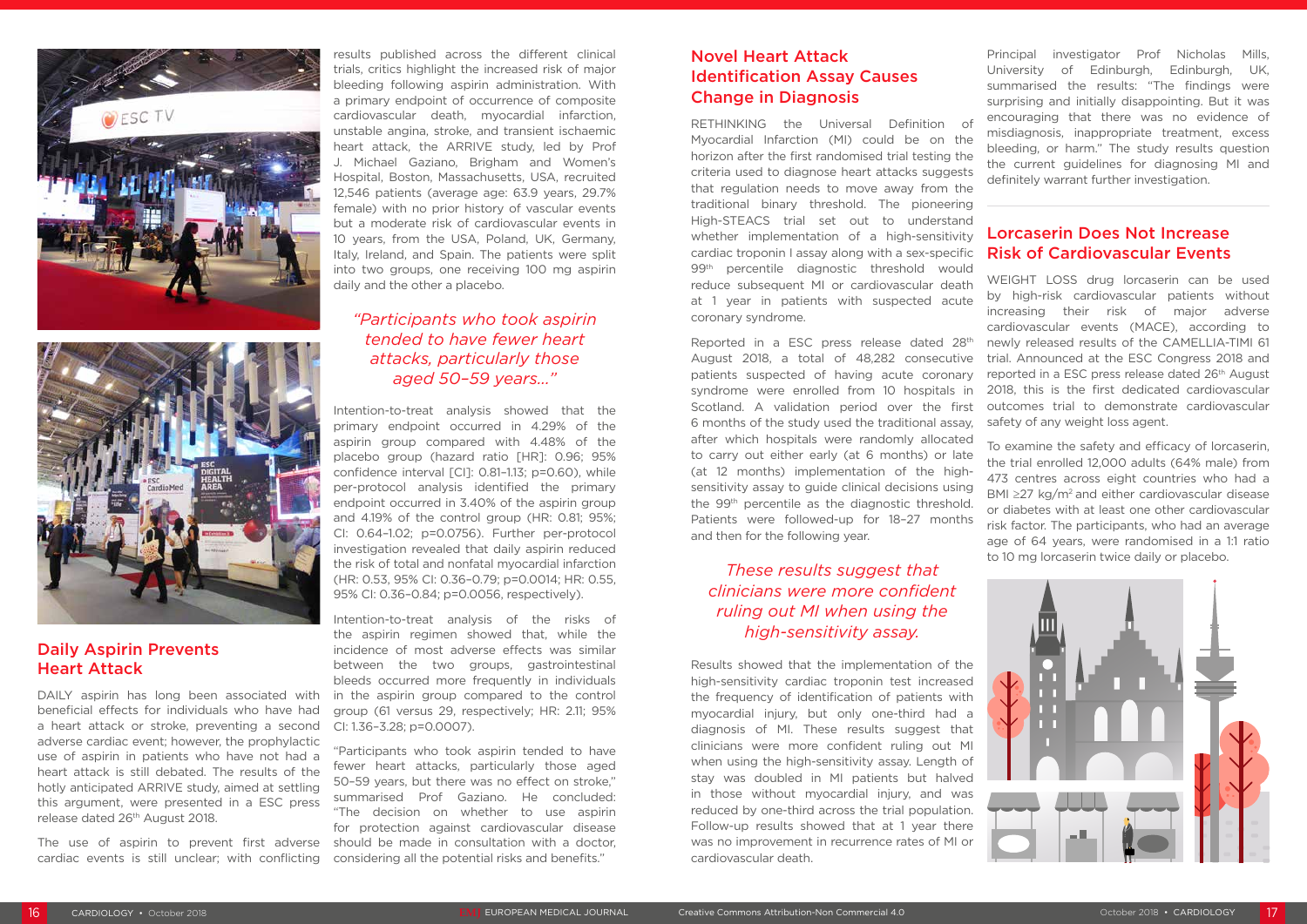DAILY aspirin has long been associated with beneficial effects for individuals who have had a heart attack or stroke, preventing a second adverse cardiac event; however, the prophylactic use of aspirin in patients who have not had a heart attack is still debated. The results of the hotly anticipated ARRIVE study, aimed at settling this argument, were presented in a ESC press release dated 26<sup>th</sup> August 2018.





#### Daily Aspirin Prevents Heart Attack

The use of aspirin to prevent first adverse cardiac events is still unclear; with conflicting

results published across the different clinical trials, critics highlight the increased risk of major bleeding following aspirin administration. With a primary endpoint of occurrence of composite cardiovascular death, myocardial infarction, unstable angina, stroke, and transient ischaemic heart attack, the ARRIVE study, led by Prof J. Michael Gaziano, Brigham and Women's Hospital, Boston, Massachusetts, USA, recruited 12,546 patients (average age: 63.9 years, 29.7% female) with no prior history of vascular events but a moderate risk of cardiovascular events in 10 years, from the USA, Poland, UK, Germany, Italy, Ireland, and Spain. The patients were split into two groups, one receiving 100 mg aspirin daily and the other a placebo.

#### *"Participants who took aspirin tended to have fewer heart attacks, particularly those aged 50–59 years..."*

Intention-to-treat analysis showed that the primary endpoint occurred in 4.29% of the aspirin group compared with 4.48% of the placebo group (hazard ratio [HR]: 0.96; 95% confidence interval [CI]: 0.81–1.13; p=0.60), while per-protocol analysis identified the primary endpoint occurred in 3.40% of the aspirin group and 4.19% of the control group (HR: 0.81; 95%; CI: 0.64–1.02; p=0.0756). Further per-protocol investigation revealed that daily aspirin reduced the risk of total and nonfatal myocardial infarction (HR: 0.53, 95% CI: 0.36–0.79; p=0.0014; HR: 0.55, 95% CI: 0.36–0.84; p=0.0056, respectively).

Intention-to-treat analysis of the risks of the aspirin regimen showed that, while the incidence of most adverse effects was similar between the two groups, gastrointestinal bleeds occurred more frequently in individuals in the aspirin group compared to the control group (61 versus 29, respectively; HR: 2.11; 95% CI: 1.36–3.28; p=0.0007).

"Participants who took aspirin tended to have fewer heart attacks, particularly those aged 50–59 years, but there was no effect on stroke," summarised Prof Gaziano. He concluded: "The decision on whether to use aspirin for protection against cardiovascular disease should be made in consultation with a doctor, considering all the potential risks and benefits."

#### Novel Heart Attack Identification Assay Causes Change in Diagnosis

RETHINKING the Universal Definition of Myocardial Infarction (MI) could be on the horizon after the first randomised trial testing the criteria used to diagnose heart attacks suggests that regulation needs to move away from the traditional binary threshold. The pioneering High-STEACS trial set out to understand whether implementation of a high-sensitivity cardiac troponin I assay along with a sex-specific 99<sup>th</sup> percentile diagnostic threshold would reduce subsequent MI or cardiovascular death at 1 year in patients with suspected acute coronary syndrome.

#### *These results suggest that clinicians were more confident ruling out MI when using the high-sensitivity assay.*

Results showed that the implementation of the high-sensitivity cardiac troponin test increased the frequency of identification of patients with myocardial injury, but only one-third had a diagnosis of MI. These results suggest that clinicians were more confident ruling out MI when using the high-sensitivity assay. Length of stay was doubled in MI patients but halved in those without myocardial injury, and was reduced by one-third across the trial population. Follow-up results showed that at 1 year there was no improvement in recurrence rates of MI or cardiovascular death.

Reported in a ESC press release dated 28th August 2018, a total of 48,282 consecutive patients suspected of having acute coronary syndrome were enrolled from 10 hospitals in Scotland. A validation period over the first 6 months of the study used the traditional assay, after which hospitals were randomly allocated to carry out either early (at 6 months) or late (at 12 months) implementation of the highsensitivity assay to guide clinical decisions using the 99th percentile as the diagnostic threshold. Patients were followed-up for 18–27 months and then for the following year. trial. Announced at the ESC Congress 2018 and reported in a ESC press release dated 26<sup>th</sup> August 2018, this is the first dedicated cardiovascular outcomes trial to demonstrate cardiovascular safety of any weight loss agent. To examine the safety and efficacy of lorcaserin, the trial enrolled 12,000 adults (64% male) from 473 centres across eight countries who had a BMI  $\geq$ 27 kg/m<sup>2</sup> and either cardiovascular disease or diabetes with at least one other cardiovascular risk factor. The participants, who had an average age of 64 years, were randomised in a 1:1 ratio to 10 mg lorcaserin twice daily or placebo.

Principal investigator Prof Nicholas Mills, University of Edinburgh, Edinburgh, UK, summarised the results: "The findings were surprising and initially disappointing. But it was encouraging that there was no evidence of misdiagnosis, inappropriate treatment, excess bleeding, or harm." The study results question the current guidelines for diagnosing MI and definitely warrant further investigation.

#### Lorcaserin Does Not Increase Risk of Cardiovascular Events

WEIGHT LOSS drug lorcaserin can be used by high-risk cardiovascular patients without increasing their risk of major adverse cardiovascular events (MACE), according to newly released results of the CAMELLIA-TIMI 61

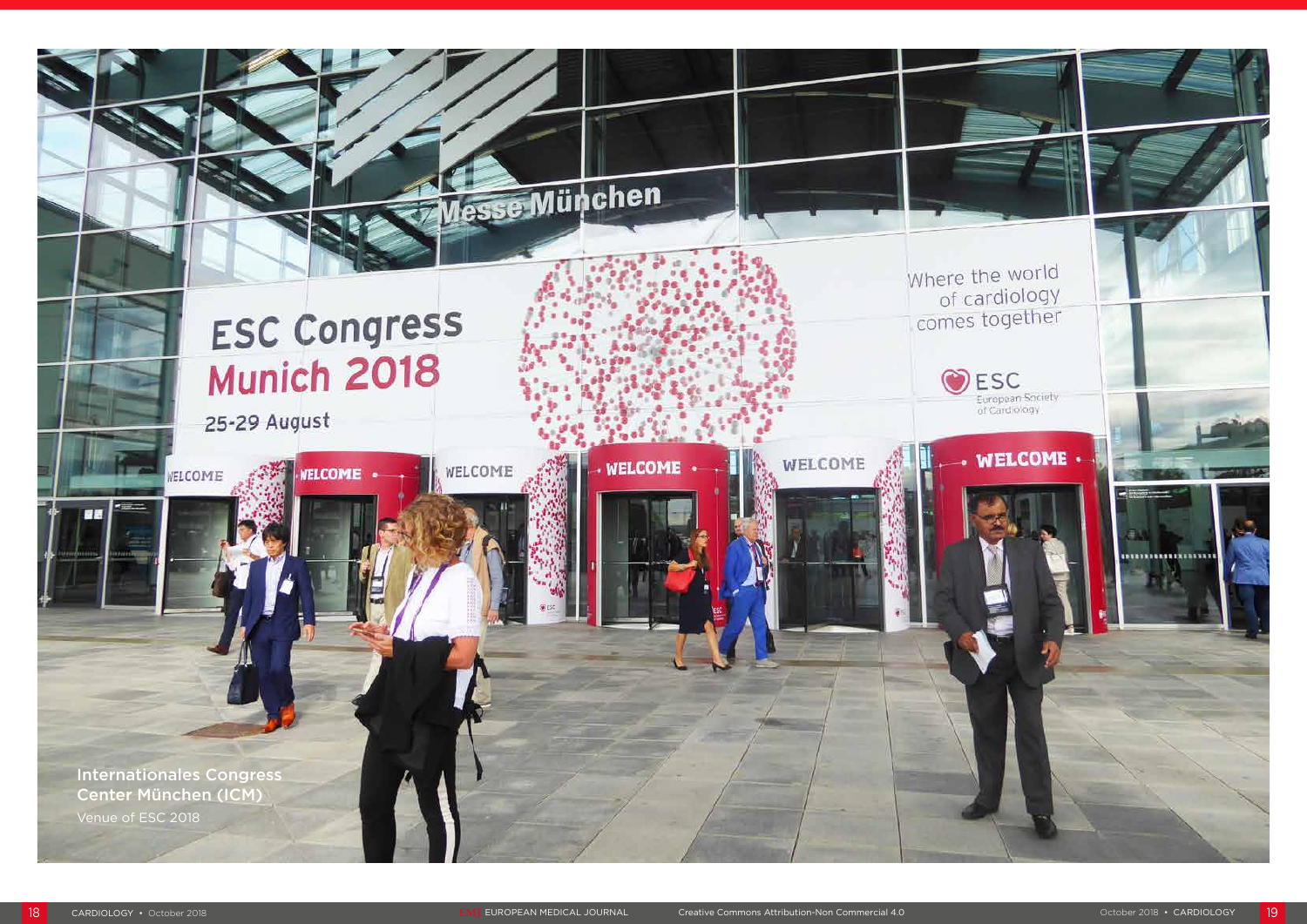# Messe München

**WELCOME** 

WELCOME

## **ESC Congress** Munich 2018

**IELCOME** 

25-29 August

WELCOME

Internationales Congress Center München (ICM)

Venue of ESC 2018

WELCOME



#### Where the world of cardiology comes together

OESC European Society<br>of Cardiology

## **WELCOME** +

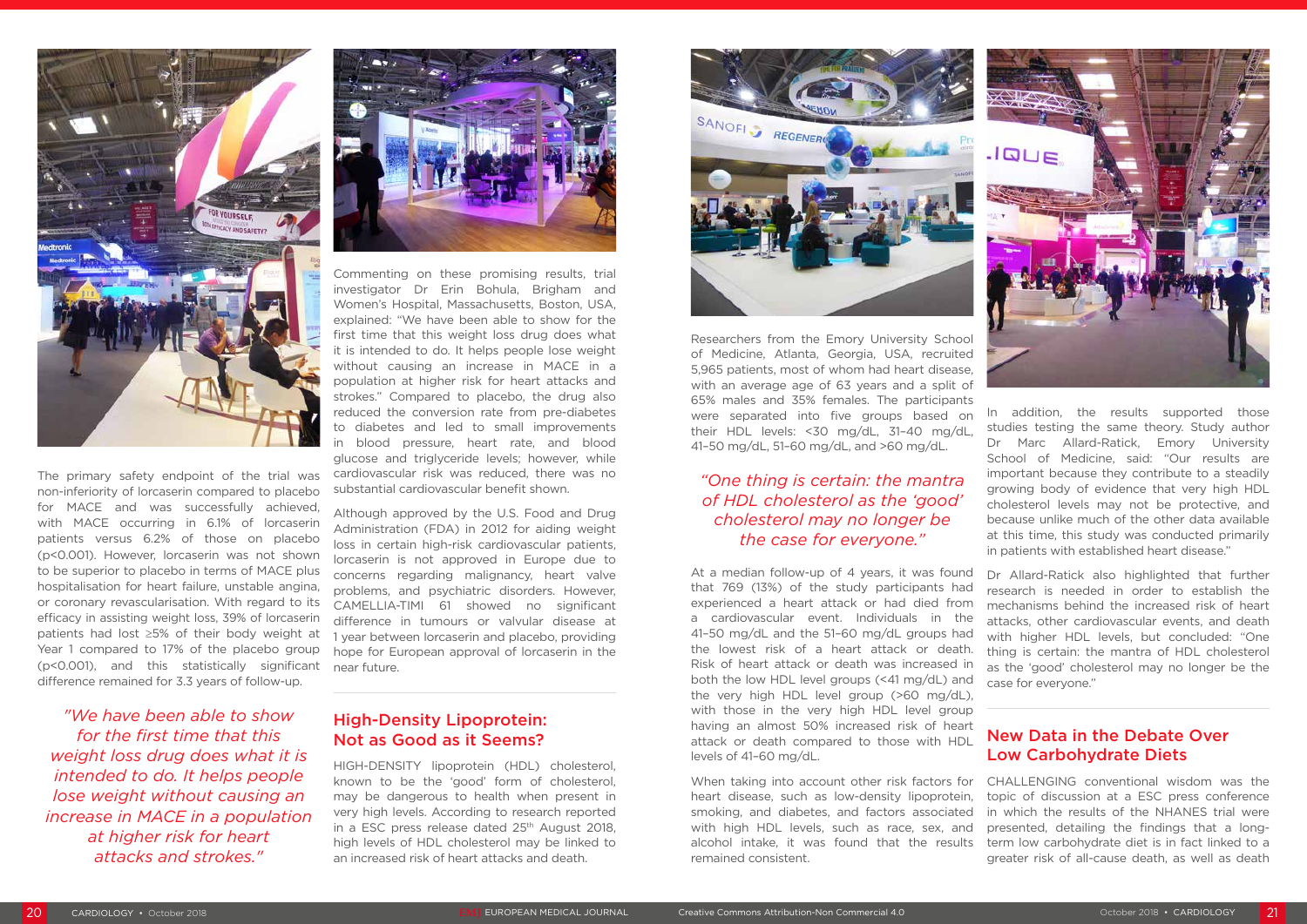

The primary safety endpoint of the trial was non-inferiority of lorcaserin compared to placebo for MACE and was successfully achieved, with MACE occurring in 6.1% of lorcaserin patients versus 6.2% of those on placebo (p<0.001). However, lorcaserin was not shown to be superior to placebo in terms of MACE plus hospitalisation for heart failure, unstable angina, or coronary revascularisation. With regard to its efficacy in assisting weight loss, 39% of lorcaserin patients had lost ≥5% of their body weight at Year 1 compared to 17% of the placebo group (p<0.001), and this statistically significant difference remained for 3.3 years of follow-up.

*"We have been able to show for the first time that this weight loss drug does what it is intended to do. It helps people lose weight without causing an increase in MACE in a population at higher risk for heart attacks and strokes."*



Commenting on these promising results, trial investigator Dr Erin Bohula, Brigham and Women's Hospital, Massachusetts, Boston, USA, explained: "We have been able to show for the first time that this weight loss drug does what it is intended to do. It helps people lose weight without causing an increase in MACE in a population at higher risk for heart attacks and strokes." Compared to placebo, the drug also reduced the conversion rate from pre-diabetes to diabetes and led to small improvements in blood pressure, heart rate, and blood glucose and triglyceride levels; however, while cardiovascular risk was reduced, there was no substantial cardiovascular benefit shown.

Although approved by the U.S. Food and Drug Administration (FDA) in 2012 for aiding weight loss in certain high-risk cardiovascular patients, lorcaserin is not approved in Europe due to concerns regarding malignancy, heart valve problems, and psychiatric disorders. However, CAMELLIA-TIMI 61 showed no significant difference in tumours or valvular disease at 1 year between lorcaserin and placebo, providing hope for European approval of lorcaserin in the near future.

#### High-Density Lipoprotein: Not as Good as it Seems?

HIGH-DENSITY lipoprotein (HDL) cholesterol, known to be the 'good' form of cholesterol, may be dangerous to health when present in very high levels. According to research reported in a ESC press release dated 25<sup>th</sup> August 2018, high levels of HDL cholesterol may be linked to an increased risk of heart attacks and death.



with an average age of 63 years and a split of 65% males and 35% females. The participants were separated into five groups based on their HDL levels: <30 mg/dL, 31–40 mg/dL, 41–50 mg/dL, 51–60 mg/dL, and >60 mg/dL.

*"One thing is certain: the mantra of HDL cholesterol as the 'good' cholesterol may no longer be the case for everyone."*

At a median follow-up of 4 years, it was found that 769 (13%) of the study participants had experienced a heart attack or had died from a cardiovascular event. Individuals in the 41–50 mg/dL and the 51–60 mg/dL groups had the lowest risk of a heart attack or death. Risk of heart attack or death was increased in both the low HDL level groups (<41 mg/dL) and the very high HDL level group (>60 mg/dL), with those in the very high HDL level group having an almost 50% increased risk of heart attack or death compared to those with HDL levels of 41–60 mg/dL. Dr Allard-Ratick also highlighted that further research is needed in order to establish the mechanisms behind the increased risk of heart attacks, other cardiovascular events, and death with higher HDL levels, but concluded: "One thing is certain: the mantra of HDL cholesterol as the 'good' cholesterol may no longer be the case for everyone." New Data in the Debate Over Low Carbohydrate Diets

In addition, the results supported those studies testing the same theory. Study author Dr Marc Allard-Ratick, Emory University School of Medicine, said: "Our results are important because they contribute to a steadily growing body of evidence that very high HDL cholesterol levels may not be protective, and because unlike much of the other data available at this time, this study was conducted primarily in patients with established heart disease."

When taking into account other risk factors for heart disease, such as low-density lipoprotein, smoking, and diabetes, and factors associated with high HDL levels, such as race, sex, and alcohol intake, it was found that the results remained consistent. CHALLENGING conventional wisdom was the topic of discussion at a ESC press conference in which the results of the NHANES trial were presented, detailing the findings that a longterm low carbohydrate diet is in fact linked to a greater risk of all-cause death, as well as death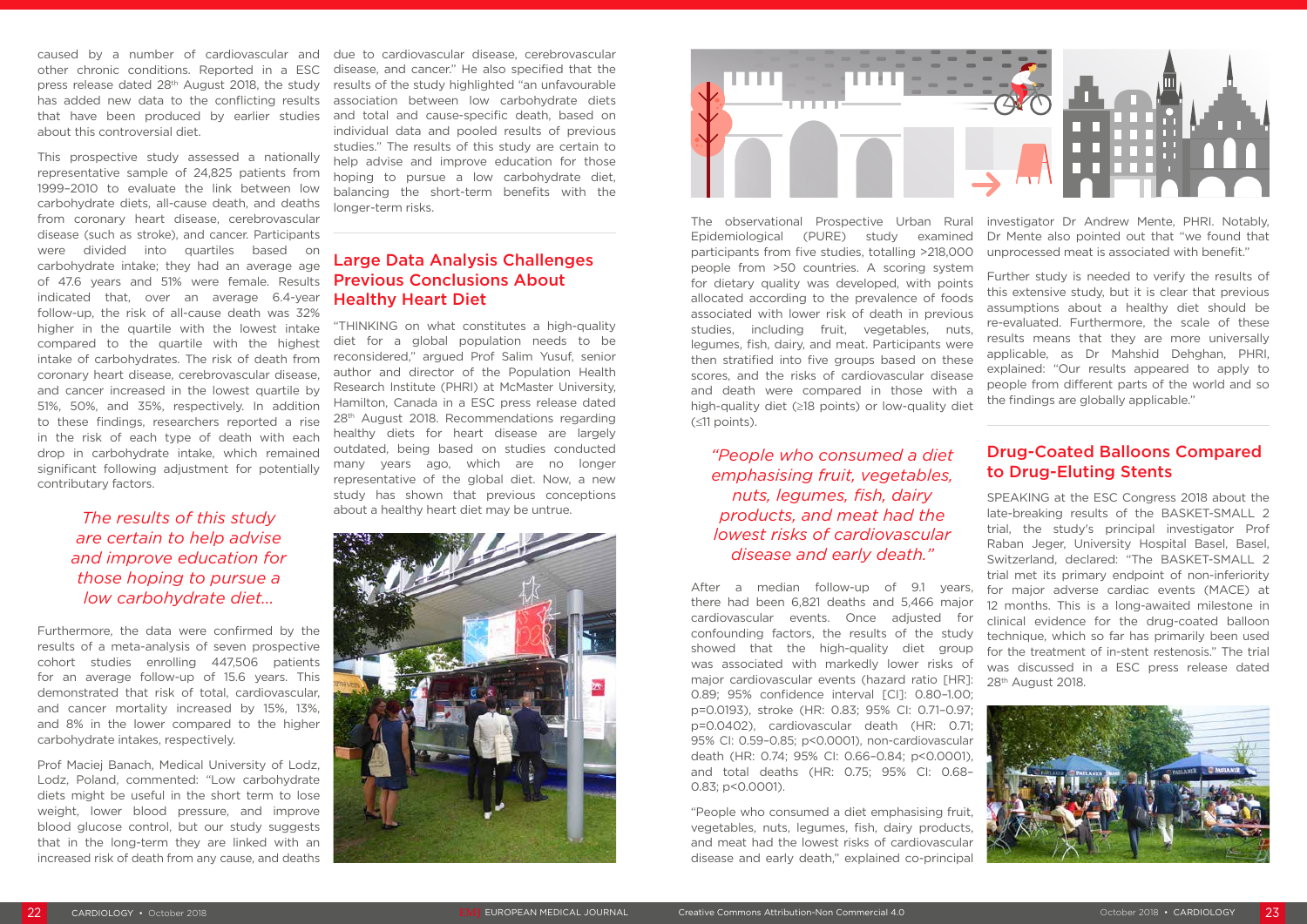caused by a number of cardiovascular and other chronic conditions. Reported in a ESC press release dated 28<sup>th</sup> August 2018, the study has added new data to the conflicting results that have been produced by earlier studies about this controversial diet.

This prospective study assessed a nationally representative sample of 24,825 patients from 1999–2010 to evaluate the link between low carbohydrate diets, all-cause death, and deaths from coronary heart disease, cerebrovascular disease (such as stroke), and cancer. Participants were divided into quartiles based on carbohydrate intake; they had an average age of 47.6 years and 51% were female. Results indicated that, over an average 6.4-year follow-up, the risk of all-cause death was 32% higher in the quartile with the lowest intake compared to the quartile with the highest intake of carbohydrates. The risk of death from coronary heart disease, cerebrovascular disease, and cancer increased in the lowest quartile by 51%, 50%, and 35%, respectively. In addition to these findings, researchers reported a rise in the risk of each type of death with each drop in carbohydrate intake, which remained significant following adjustment for potentially contributary factors.

#### *The results of this study are certain to help advise and improve education for those hoping to pursue a low carbohydrate diet...*

Furthermore, the data were confirmed by the results of a meta-analysis of seven prospective cohort studies enrolling 447,506 patients for an average follow-up of 15.6 years. This demonstrated that risk of total, cardiovascular, and cancer mortality increased by 15%, 13%, and 8% in the lower compared to the higher carbohydrate intakes, respectively.

Prof Maciej Banach, Medical University of Lodz, Lodz, Poland, commented: "Low carbohydrate diets might be useful in the short term to lose weight, lower blood pressure, and improve blood glucose control, but our study suggests that in the long-term they are linked with an increased risk of death from any cause, and deaths

due to cardiovascular disease, cerebrovascular disease, and cancer." He also specified that the results of the study highlighted "an unfavourable association between low carbohydrate diets and total and cause-specific death, based on individual data and pooled results of previous studies." The results of this study are certain to help advise and improve education for those hoping to pursue a low carbohydrate diet, balancing the short-term benefits with the longer-term risks.

#### Large Data Analysis Challenges Previous Conclusions About Healthy Heart Diet

SPEAKING at the ESC Congress 2018 about the late-breaking results of the BASKET-SMALL 2 trial, the study's principal investigator Prof Raban Jeger, University Hospital Basel, Basel, Switzerland, declared: "The BASKET-SMALL 2 trial met its primary endpoint of non-inferiority for major adverse cardiac events (MACE) at 12 months. This is a long-awaited milestone in clinical evidence for the drug-coated balloon technique, which so far has primarily been used for the treatment of in-stent restenosis." The trial was discussed in a ESC press release dated 28<sup>th</sup> August 2018.



"THINKING on what constitutes a high-quality diet for a global population needs to be reconsidered," argued Prof Salim Yusuf, senior author and director of the Population Health Research Institute (PHRI) at McMaster University, Hamilton, Canada in a ESC press release dated 28<sup>th</sup> August 2018. Recommendations regarding healthy diets for heart disease are largely outdated, being based on studies conducted many years ago, which are no longer representative of the global diet. Now, a new study has shown that previous conceptions about a healthy heart diet may be untrue.





*"People who consumed a diet emphasising fruit, vegetables, nuts, legumes, fish, dairy products, and meat had the lowest risks of cardiovascular disease and early death."*

The observational Prospective Urban Rural Epidemiological (PURE) study examined participants from five studies, totalling >218,000 people from >50 countries. A scoring system for dietary quality was developed, with points allocated according to the prevalence of foods associated with lower risk of death in previous studies, including fruit, vegetables, nuts, legumes, fish, dairy, and meat. Participants were then stratified into five groups based on these scores, and the risks of cardiovascular disease and death were compared in those with a high-quality diet (≥18 points) or low-quality diet (≤11 points). investigator Dr Andrew Mente, PHRI. Notably, Dr Mente also pointed out that "we found that unprocessed meat is associated with benefit." Further study is needed to verify the results of this extensive study, but it is clear that previous assumptions about a healthy diet should be re-evaluated. Furthermore, the scale of these results means that they are more universally applicable, as Dr Mahshid Dehghan, PHRI, explained: "Our results appeared to apply to people from different parts of the world and so the findings are globally applicable."

After a median follow-up of 9.1 years, there had been 6,821 deaths and 5,466 major cardiovascular events. Once adjusted for confounding factors, the results of the study showed that the high-quality diet group was associated with markedly lower risks of major cardiovascular events (hazard ratio [HR]: 0.89; 95% confidence interval [CI]: 0.80–1.00; p=0.0193), stroke (HR: 0.83; 95% CI: 0.71–0.97; p=0.0402), cardiovascular death (HR: 0.71; 95% CI: 0.59–0.85; p<0.0001), non-cardiovascular death (HR: 0.74; 95% CI: 0.66–0.84; p<0.0001), and total deaths (HR: 0.75; 95% CI: 0.68– 0.83; p<0.0001).

"People who consumed a diet emphasising fruit, vegetables, nuts, legumes, fish, dairy products, and meat had the lowest risks of cardiovascular disease and early death," explained co-principal

#### Drug-Coated Balloons Compared to Drug-Eluting Stents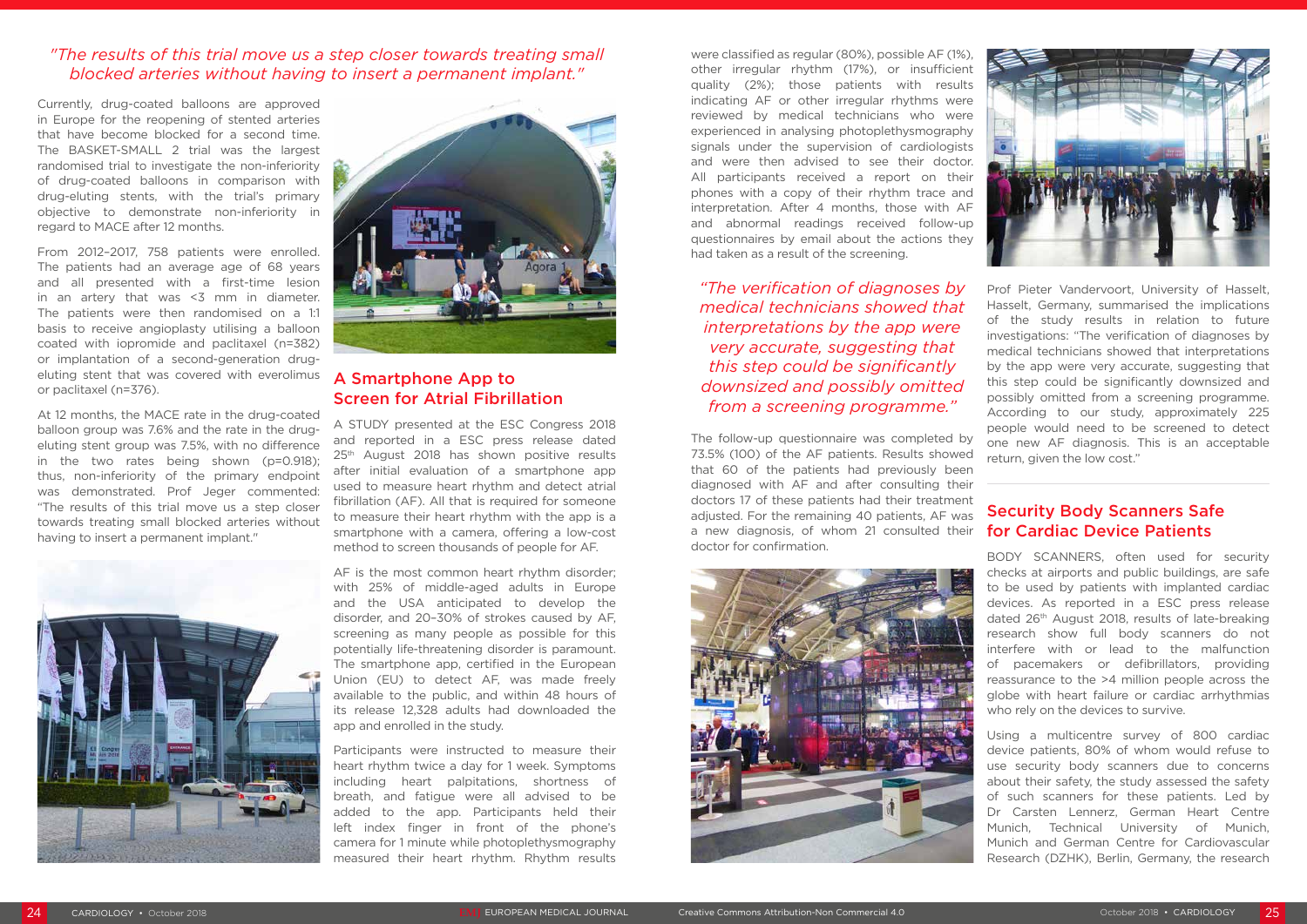

Currently, drug-coated balloons are approved in Europe for the reopening of stented arteries that have become blocked for a second time. The BASKET-SMALL 2 trial was the largest randomised trial to investigate the non-inferiority of drug-coated balloons in comparison with drug-eluting stents, with the trial's primary objective to demonstrate non-inferiority in regard to MACE after 12 months.

From 2012–2017, 758 patients were enrolled. The patients had an average age of 68 years and all presented with a first-time lesion in an artery that was <3 mm in diameter. The patients were then randomised on a 1:1 basis to receive angioplasty utilising a balloon coated with iopromide and paclitaxel (n=382) or implantation of a second-generation drugeluting stent that was covered with everolimus or paclitaxel (n=376).

At 12 months, the MACE rate in the drug-coated balloon group was 7.6% and the rate in the drugeluting stent group was 7.5%, with no difference in the two rates being shown (p=0.918); thus, non-inferiority of the primary endpoint was demonstrated. Prof Jeger commented: "The results of this trial move us a step closer towards treating small blocked arteries without having to insert a permanent implant."





#### A Smartphone App to Screen for Atrial Fibrillation

A STUDY presented at the ESC Congress 2018 and reported in a ESC press release dated 25<sup>th</sup> August 2018 has shown positive results after initial evaluation of a smartphone app used to measure heart rhythm and detect atrial fibrillation (AF). All that is required for someone to measure their heart rhythm with the app is a smartphone with a camera, offering a low-cost method to screen thousands of people for AF.

AF is the most common heart rhythm disorder; with 25% of middle-aged adults in Europe and the USA anticipated to develop the disorder, and 20–30% of strokes caused by AF, screening as many people as possible for this potentially life-threatening disorder is paramount. The smartphone app, certified in the European Union (EU) to detect AF, was made freely available to the public, and within 48 hours of its release 12,328 adults had downloaded the app and enrolled in the study.

Participants were instructed to measure their heart rhythm twice a day for 1 week. Symptoms including heart palpitations, shortness of breath, and fatigue were all advised to be added to the app. Participants held their left index finger in front of the phone's camera for 1 minute while photoplethysmography measured their heart rhythm. Rhythm results

were classified as regular (80%), possible AF (1%), other irregular rhythm (17%), or insufficient quality (2%); those patients with results indicating AF or other irregular rhythms were reviewed by medical technicians who were experienced in analysing photoplethysmography signals under the supervision of cardiologists and were then advised to see their doctor. All participants received a report on their phones with a copy of their rhythm trace and interpretation. After 4 months, those with AF and abnormal readings received follow-up questionnaires by email about the actions they had taken as a result of the screening.

*"The verification of diagnoses by medical technicians showed that interpretations by the app were very accurate, suggesting that this step could be significantly downsized and possibly omitted from a screening programme."*

The follow-up questionnaire was completed by 73.5% (100) of the AF patients. Results showed that 60 of the patients had previously been diagnosed with AF and after consulting their doctors 17 of these patients had their treatment adjusted. For the remaining 40 patients, AF was a new diagnosis, of whom 21 consulted their doctor for confirmation.



Prof Pieter Vandervoort, University of Hasselt, Hasselt, Germany, summarised the implications of the study results in relation to future investigations: "The verification of diagnoses by medical technicians showed that interpretations by the app were very accurate, suggesting that this step could be significantly downsized and possibly omitted from a screening programme. According to our study, approximately 225 people would need to be screened to detect one new AF diagnosis. This is an acceptable return, given the low cost."

#### Security Body Scanners Safe for Cardiac Device Patients

BODY SCANNERS, often used for security checks at airports and public buildings, are safe to be used by patients with implanted cardiac devices. As reported in a ESC press release dated 26th August 2018, results of late-breaking research show full body scanners do not interfere with or lead to the malfunction of pacemakers or defibrillators, providing reassurance to the >4 million people across the globe with heart failure or cardiac arrhythmias who rely on the devices to survive.

Using a multicentre survey of 800 cardiac device patients, 80% of whom would refuse to use security body scanners due to concerns about their safety, the study assessed the safety of such scanners for these patients. Led by Dr Carsten Lennerz, German Heart Centre Munich, Technical University of Munich, Munich and German Centre for Cardiovascular Research (DZHK), Berlin, Germany, the research

#### *"The results of this trial move us a step closer towards treating small blocked arteries without having to insert a permanent implant."*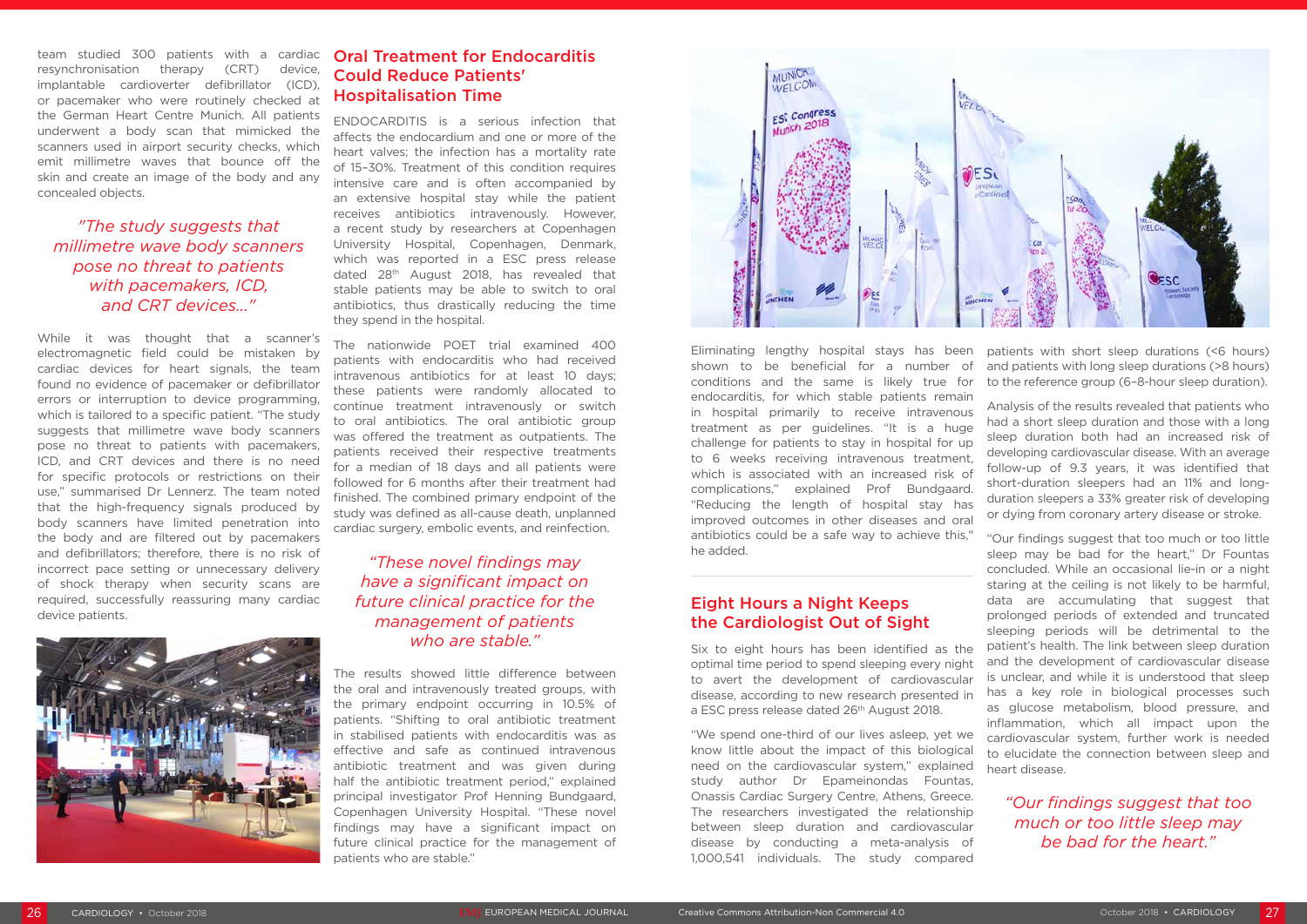team studied 300 patients with a cardiac resynchronisation therapy (CRT) device, implantable cardioverter defibrillator (ICD), or pacemaker who were routinely checked at the German Heart Centre Munich. All patients underwent a body scan that mimicked the scanners used in airport security checks, which emit millimetre waves that bounce off the skin and create an image of the body and any concealed objects.

#### *"The study suggests that millimetre wave body scanners pose no threat to patients with pacemakers, ICD, and CRT devices..."*

While it was thought that a scanner's electromagnetic field could be mistaken by cardiac devices for heart signals, the team found no evidence of pacemaker or defibrillator errors or interruption to device programming, which is tailored to a specific patient. "The study suggests that millimetre wave body scanners pose no threat to patients with pacemakers, ICD, and CRT devices and there is no need for specific protocols or restrictions on their use," summarised Dr Lennerz. The team noted that the high-frequency signals produced by body scanners have limited penetration into the body and are filtered out by pacemakers and defibrillators; therefore, there is no risk of incorrect pace setting or unnecessary delivery of shock therapy when security scans are required, successfully reassuring many cardiac device patients.



#### Oral Treatment for Endocarditis Could Reduce Patients' Hospitalisation Time

ENDOCARDITIS is a serious infection that affects the endocardium and one or more of the heart valves; the infection has a mortality rate of 15–30%. Treatment of this condition requires intensive care and is often accompanied by an extensive hospital stay while the patient receives antibiotics intravenously. However, a recent study by researchers at Copenhagen University Hospital, Copenhagen, Denmark, which was reported in a ESC press release dated 28th August 2018, has revealed that stable patients may be able to switch to oral antibiotics, thus drastically reducing the time they spend in the hospital.

The nationwide POET trial examined 400 patients with endocarditis who had received intravenous antibiotics for at least 10 days; these patients were randomly allocated to continue treatment intravenously or switch to oral antibiotics. The oral antibiotic group was offered the treatment as outpatients. The patients received their respective treatments for a median of 18 days and all patients were followed for 6 months after their treatment had finished. The combined primary endpoint of the study was defined as all-cause death, unplanned cardiac surgery, embolic events, and reinfection.

#### *"These novel findings may have a significant impact on future clinical practice for the management of patients who are stable."*

The results showed little difference between the oral and intravenously treated groups, with the primary endpoint occurring in 10.5% of patients. "Shifting to oral antibiotic treatment in stabilised patients with endocarditis was as effective and safe as continued intravenous antibiotic treatment and was given during half the antibiotic treatment period," explained principal investigator Prof Henning Bundgaard, Copenhagen University Hospital. "These novel findings may have a significant impact on future clinical practice for the management of patients who are stable."



Eliminating lengthy hospital stays has been shown to be beneficial for a number of conditions and the same is likely true for endocarditis, for which stable patients remain in hospital primarily to receive intravenous treatment as per guidelines. "It is a huge challenge for patients to stay in hospital for up to 6 weeks receiving intravenous treatment, which is associated with an increased risk of complications," explained Prof Bundgaard. "Reducing the length of hospital stay has improved outcomes in other diseases and oral antibiotics could be a safe way to achieve this," patients with short sleep durations (<6 hours) and patients with long sleep durations (>8 hours) to the reference group (6–8-hour sleep duration). Analysis of the results revealed that patients who had a short sleep duration and those with a long sleep duration both had an increased risk of developing cardiovascular disease. With an average follow-up of 9.3 years, it was identified that short-duration sleepers had an 11% and longduration sleepers a 33% greater risk of developing or dying from coronary artery disease or stroke. "Our findings suggest that too much or too little

study author Dr Epameinondas Fountas, Onassis Cardiac Surgery Centre, Athens, Greece. The researchers investigated the relationship between sleep duration and cardiovascular disease by conducting a meta-analysis of 1,000,541 individuals. The study compared

he added. Eight Hours a Night Keeps the Cardiologist Out of Sight Six to eight hours has been identified as the optimal time period to spend sleeping every night to avert the development of cardiovascular disease, according to new research presented in a ESC press release dated 26<sup>th</sup> August 2018. "We spend one-third of our lives asleep, yet we know little about the impact of this biological need on the cardiovascular system," explained sleep may be bad for the heart," Dr Fountas concluded. While an occasional lie-in or a night staring at the ceiling is not likely to be harmful, data are accumulating that suggest that prolonged periods of extended and truncated sleeping periods will be detrimental to the patient's health. The link between sleep duration and the development of cardiovascular disease is unclear, and while it is understood that sleep has a key role in biological processes such as glucose metabolism, blood pressure, and inflammation, which all impact upon the cardiovascular system, further work is needed to elucidate the connection between sleep and heart disease.

> *"Our findings suggest that too much or too little sleep may be bad for the heart."*